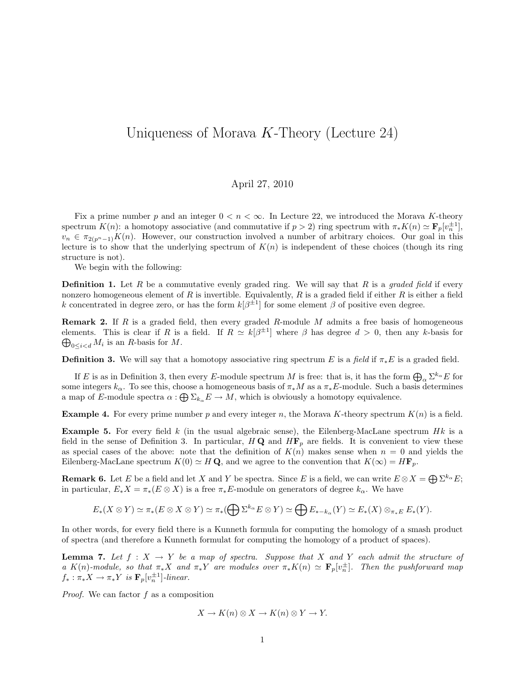## Uniqueness of Morava  $K$ -Theory (Lecture 24)

## April 27, 2010

Fix a prime number p and an integer  $0 < n < \infty$ . In Lecture 22, we introduced the Morava K-theory spectrum  $K(n)$ : a homotopy associative (and commutative if  $p > 2$ ) ring spectrum with  $\pi_* K(n) \simeq \mathbf{F}_p[v_n^{\pm 1}]$ ,  $v_n \in \pi_{2(n^n-1)}K(n)$ . However, our construction involved a number of arbitrary choices. Our goal in this lecture is to show that the underlying spectrum of  $K(n)$  is independent of these choices (though its ring structure is not).

We begin with the following:

**Definition 1.** Let R be a commutative evenly graded ring. We will say that R is a graded field if every nonzero homogeneous element of R is invertible. Equivalently, R is a graded field if either R is either a field k concentrated in degree zero, or has the form  $k[\beta^{\pm 1}]$  for some element  $\beta$  of positive even degree.

**Remark 2.** If R is a graded field, then every graded R-module M admits a free basis of homogeneous elements. This is clear if R is a field. If  $R \simeq k[\beta^{\pm 1}]$  where  $\beta$  has degree  $d > 0$ , then any k-basis for  $\bigoplus_{0 \leq i < d} M_i$  is an R-basis for M.

**Definition 3.** We will say that a homotopy associative ring spectrum E is a field if  $\pi_*E$  is a graded field.

If E is as in Definition 3, then every E-module spectrum M is free: that is, it has the form  $\bigoplus_{\alpha} \Sigma^{k_{\alpha}} E$  for some integers  $k_{\alpha}$ . To see this, choose a homogeneous basis of  $\pi_{*}M$  as a  $\pi_{*}E$ -module. Such a basis determines a map of E-module spectra  $\alpha: \bigoplus \Sigma_{k_\alpha} E \to M$ , which is obviously a homotopy equivalence.

**Example 4.** For every prime number p and every integer n, the Morava K-theory spectrum  $K(n)$  is a field.

**Example 5.** For every field k (in the usual algebraic sense), the Eilenberg-MacLane spectrum  $Hk$  is a field in the sense of Definition 3. In particular,  $H\mathbf{Q}$  and  $H\mathbf{F}_p$  are fields. It is convenient to view these as special cases of the above: note that the definition of  $K(n)$  makes sense when  $n = 0$  and yields the Eilenberg-MacLane spectrum  $K(0) \simeq H\mathbf{Q}$ , and we agree to the convention that  $K(\infty) = H\mathbf{F}_p$ .

**Remark 6.** Let E be a field and let X and Y be spectra. Since E is a field, we can write  $E \otimes X = \bigoplus \sum^{k_{\alpha}} E$ ; in particular,  $E_*X = \pi_*(E \otimes X)$  is a free  $\pi_*E$ -module on generators of degree  $k_\alpha$ . We have

$$
E_*(X \otimes Y) \simeq \pi_*(E \otimes X \otimes Y) \simeq \pi_*(\bigoplus \Sigma^{k_\alpha} E \otimes Y) \simeq \bigoplus E_{*-k_\alpha}(Y) \simeq E_*(X) \otimes_{\pi_*E} E_*(Y).
$$

In other words, for every field there is a Kunneth formula for computing the homology of a smash product of spectra (and therefore a Kunneth formulat for computing the homology of a product of spaces).

**Lemma 7.** Let  $f : X \to Y$  be a map of spectra. Suppose that X and Y each admit the structure of a K(n)-module, so that  $\pi_* X$  and  $\pi_* Y$  are modules over  $\pi_* K(n) \simeq \mathbf{F}_p[v_n^{\pm}]$ . Then the pushforward map  $f_* : \pi_* X \to \pi_* Y$  is  $\mathbf{F}_p[v_n^{\pm 1}]$ -linear.

Proof. We can factor f as a composition

$$
X \to K(n) \otimes X \to K(n) \otimes Y \to Y.
$$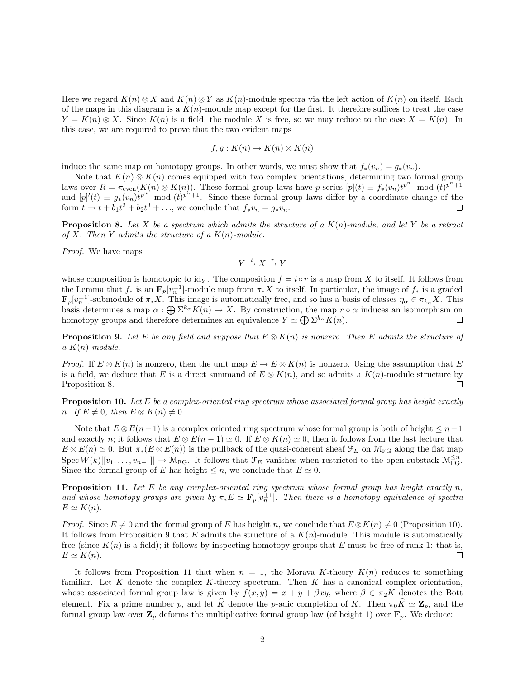Here we regard  $K(n) \otimes X$  and  $K(n) \otimes Y$  as  $K(n)$ -module spectra via the left action of  $K(n)$  on itself. Each of the maps in this diagram is a  $K(n)$ -module map except for the first. It therefore suffices to treat the case  $Y = K(n) \otimes X$ . Since  $K(n)$  is a field, the module X is free, so we may reduce to the case  $X = K(n)$ . In this case, we are required to prove that the two evident maps

$$
f, g: K(n) \to K(n) \otimes K(n)
$$

induce the same map on homotopy groups. In other words, we must show that  $f_*(v_n) = g_*(v_n)$ .

Note that  $K(n) \otimes K(n)$  comes equipped with two complex orientations, determining two formal group laws over  $R = \pi_{\text{even}}(K(n) \otimes K(n))$ . These formal group laws have p-series  $[p](t) \equiv f_*(v_n)t^{p^n} \mod (t)^{p^n+1}$ and  $[p]'(t) \equiv g_*(v_n)t^{p^n}$  mod  $(t)^{p^{n'+1}}$ . Since these formal group laws differ by a coordinate change of the form  $t \mapsto t + b_1t^2 + b_2t^3 + \ldots$ , we conclude that  $f_*v_n = g_*v_n$ .

**Proposition 8.** Let X be a spectrum which admits the structure of a  $K(n)$ -module, and let Y be a retract of X. Then Y admits the structure of a  $K(n)$ -module.

Proof. We have maps

$$
Y \xrightarrow{i} X \xrightarrow{r} Y
$$

whose composition is homotopic to idy. The composition  $f = i \circ r$  is a map from X to itself. It follows from the Lemma that  $f_*$  is an  $\mathbf{F}_p[v_n^{\pm 1}]$ -module map from  $\pi_* X$  to itself. In particular, the image of  $f_*$  is a graded  $\mathbf{F}_p[v_n^{\pm 1}]$ -submodule of  $\pi_* X$ . This image is automatically free, and so has a basis of classes  $\eta_\alpha \in \pi_{k_\alpha} X$ . This basis determines a map  $\alpha: \bigoplus \Sigma^{k_{\alpha}} K(n) \to X$ . By construction, the map  $r \circ \alpha$  induces an isomorphism on homotopy groups and therefore determines an equivalence  $Y \simeq \bigoplus \Sigma^{k_{\alpha}} K(n)$ . П

**Proposition 9.** Let E be any field and suppose that  $E \otimes K(n)$  is nonzero. Then E admits the structure of  $a K(n)$ -module.

*Proof.* If  $E \otimes K(n)$  is nonzero, then the unit map  $E \to E \otimes K(n)$  is nonzero. Using the assumption that E is a field, we deduce that E is a direct summand of  $E \otimes K(n)$ , and so admits a  $K(n)$ -module structure by Proposition 8.  $\Box$ 

**Proposition 10.** Let E be a complex-oriented ring spectrum whose associated formal group has height exactly n. If  $E \neq 0$ , then  $E \otimes K(n) \neq 0$ .

Note that  $E \otimes E(n-1)$  is a complex oriented ring spectrum whose formal group is both of height  $\leq n-1$ and exactly n; it follows that  $E \otimes E(n-1) \simeq 0$ . If  $E \otimes K(n) \simeq 0$ , then it follows from the last lecture that  $E \otimes E(n) \simeq 0$ . But  $\pi_*(E \otimes E(n))$  is the pullback of the quasi-coherent sheaf  $\mathcal{F}_E$  on  $\mathcal{M}_{FG}$  along the flat map  $\text{Spec } W(k)[[v_1, \ldots, v_{n-1}]] \to \mathcal{M}_{\text{FG}}$ . It follows that  $\mathcal{F}_E$  vanishes when restricted to the open substack  $\mathcal{M}_{\text{FG}}^{\leq n}$ . Since the formal group of E has height  $\leq n$ , we conclude that  $E \simeq 0$ .

**Proposition 11.** Let E be any complex-oriented ring spectrum whose formal group has height exactly n, and whose homotopy groups are given by  $\pi_* E \simeq \mathbf{F}_p[v_n^{\pm 1}]$ . Then there is a homotopy equivalence of spectra  $E \simeq K(n).$ 

*Proof.* Since  $E \neq 0$  and the formal group of E has height n, we conclude that  $E \otimes K(n) \neq 0$  (Proposition 10). It follows from Proposition 9 that E admits the structure of a  $K(n)$ -module. This module is automatically free (since  $K(n)$  is a field); it follows by inspecting homotopy groups that E must be free of rank 1: that is,  $E \simeq K(n).$  $\Box$ 

It follows from Proposition 11 that when  $n = 1$ , the Morava K-theory  $K(n)$  reduces to something familiar. Let  $K$  denote the complex  $K$ -theory spectrum. Then  $K$  has a canonical complex orientation, whose associated formal group law is given by  $f(x, y) = x + y + \beta xy$ , where  $\beta \in \pi_2 K$  denotes the Bott element. Fix a prime number p, and let  $\widehat{K}$  denote the p-adic completion of K. Then  $\pi_0\widehat{K} \simeq \mathbf{Z}_p$ , and the formal group law over  $\mathbf{Z}_p$  deforms the multiplicative formal group law (of height 1) over  $\mathbf{F}_p$ . We deduce: